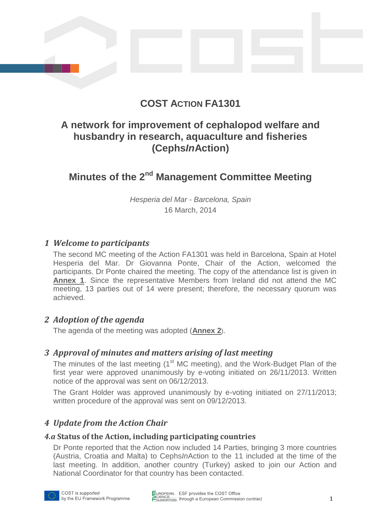# **COST ACTION FA1301**

# **A network for improvement of cephalopod welfare and husbandry in research, aquaculture and fisheries (Cephs***In***Action)**

# **Minutes of the 2nd Management Committee Meeting**

*Hesperia del Mar - Barcelona, Spain* 16 March, 2014

## *1 Welcome to participants*

The second MC meeting of the Action FA1301 was held in Barcelona, Spain at Hotel Hesperia del Mar. Dr Giovanna Ponte, Chair of the Action, welcomed the participants. Dr Ponte chaired the meeting. The copy of the attendance list is given in **[Annex 1](#page-7-0)**. Since the representative Members from Ireland did not attend the MC meeting, 13 parties out of 14 were present; therefore, the necessary quorum was achieved.

## *2 Adoption of the agenda*

The agenda of the meeting was adopted (**[Annex 2](#page-8-0)**).

## *3 Approval of minutes and matters arising of last meeting*

The minutes of the last meeting (1<sup>st</sup> MC meeting), and the Work-Budget Plan of the first year were approved unanimously by e-voting initiated on 26/11/2013. Written notice of the approval was sent on 06/12/2013.

The Grant Holder was approved unanimously by e-voting initiated on 27/11/2013; written procedure of the approval was sent on 09/12/2013.

## *4 Update from the Action Chair*

#### *4.a* **Status of the Action, including participating countries**

Dr Ponte reported that the Action now included 14 Parties, bringing 3 more countries (Austria, Croatia and Malta) to Cephs*In*Action to the 11 included at the time of the last meeting. In addition, another country (Turkey) asked to join our Action and National Coordinator for that country has been contacted.



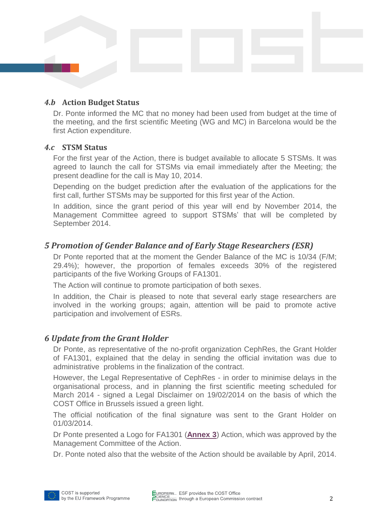#### *4.b* **Action Budget Status**

Dr. Ponte informed the MC that no money had been used from budget at the time of the meeting, and the first scientific Meeting (WG and MC) in Barcelona would be the first Action expenditure.

#### *4.c* **STSM Status**

For the first year of the Action, there is budget available to allocate 5 STSMs. It was agreed to launch the call for STSMs via email immediately after the Meeting; the present deadline for the call is May 10, 2014.

Depending on the budget prediction after the evaluation of the applications for the first call, further STSMs may be supported for this first year of the Action.

In addition, since the grant period of this year will end by November 2014, the Management Committee agreed to support STSMs' that will be completed by September 2014.

## *5 Promotion of Gender Balance and of Early Stage Researchers (ESR)*

Dr Ponte reported that at the moment the Gender Balance of the MC is 10/34 (F/M; 29.4%); however, the proportion of females exceeds 30% of the registered participants of the five Working Groups of FA1301.

The Action will continue to promote participation of both sexes.

In addition, the Chair is pleased to note that several early stage researchers are involved in the working groups; again, attention will be paid to promote active participation and involvement of ESRs.

## *6 Update from the Grant Holder*

Dr Ponte, as representative of the no-profit organization CephRes, the Grant Holder of FA1301, explained that the delay in sending the official invitation was due to administrative problems in the finalization of the contract.

However, the Legal Representative of CephRes - in order to minimise delays in the organisational process, and in planning the first scientific meeting scheduled for March 2014 - signed a Legal Disclaimer on 19/02/2014 on the basis of which the COST Office in Brussels issued a green light.

The official notification of the final signature was sent to the Grant Holder on 01/03/2014.

Dr Ponte presented a Logo for FA1301 (**[Annex 3](#page-8-1)**) Action, which was approved by the Management Committee of the Action.

Dr. Ponte noted also that the website of the Action should be available by April, 2014.

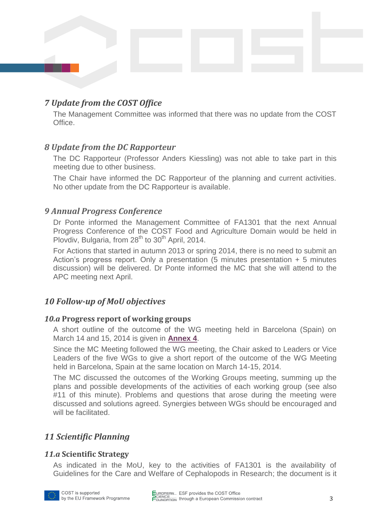## *7 Update from the COST Office*

The Management Committee was informed that there was no update from the COST Office.

## *8 Update from the DC Rapporteur*

The DC Rapporteur (Professor Anders Kiessling) was not able to take part in this meeting due to other business.

The Chair have informed the DC Rapporteur of the planning and current activities. No other update from the DC Rapporteur is available.

#### *9 Annual Progress Conference*

Dr Ponte informed the Management Committee of FA1301 that the next Annual Progress Conference of the COST Food and Agriculture Domain would be held in Plovdiv, Bulgaria, from 28<sup>th</sup> to 30<sup>th</sup> April, 2014.

For Actions that started in autumn 2013 or spring 2014, there is no need to submit an Action's progress report. Only a presentation (5 minutes presentation + 5 minutes discussion) will be delivered. Dr Ponte informed the MC that she will attend to the APC meeting next April.

## *10 Follow-up of MoU objectives*

#### *10.a* **Progress report of working groups**

A short outline of the outcome of the WG meeting held in Barcelona (Spain) on March 14 and 15, 2014 is given in **[Annex 4](#page-10-0)**.

Since the MC Meeting followed the WG meeting, the Chair asked to Leaders or Vice Leaders of the five WGs to give a short report of the outcome of the WG Meeting held in Barcelona, Spain at the same location on March 14-15, 2014.

The MC discussed the outcomes of the Working Groups meeting, summing up the plans and possible developments of the activities of each working group (see also #11 of this minute). Problems and questions that arose during the meeting were discussed and solutions agreed. Synergies between WGs should be encouraged and will be facilitated.

## *11 Scientific Planning*

#### *11.a* **Scientific Strategy**

As indicated in the MoU, key to the activities of FA1301 is the availability of Guidelines for the Care and Welfare of Cephalopods in Research; the document is it

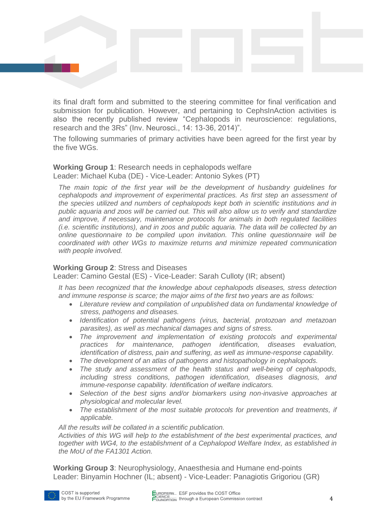its final draft form and submitted to the steering committee for final verification and submission for publication. However, and pertaining to CephsInAction activities is also the recently published review "Cephalopods in neuroscience: regulations, research and the 3Rs" (Inv. Neurosci., 14: 13-36, 2014)".

The following summaries of primary activities have been agreed for the first year by the five WGs.

#### **Working Group 1**: Research needs in cephalopods welfare Leader: Michael Kuba (DE) - Vice-Leader: Antonio Sykes (PT)

*The main topic of the first year will be the development of husbandry guidelines for cephalopods and improvement of experimental practices. As first step an assessment of the species utilized and numbers of cephalopods kept both in scientific institutions and in public aquaria and zoos will be carried out. This will also allow us to verify and standardize and improve, if necessary, maintenance protocols for animals in both regulated facilities (i.e. scientific institutions), and in zoos and public aquaria. The data will be collected by an online questionnaire to be compiled upon invitation. This online questionnaire will be coordinated with other WGs to maximize returns and minimize repeated communication with people involved.*

#### **Working Group 2**: Stress and Diseases

Leader: Camino Gestal (ES) - Vice-Leader: Sarah Culloty (IR; absent)

*It has been recognized that the knowledge about cephalopods diseases, stress detection and immune response is scarce; the major aims of the first two years are as follows:*

- *Literature review and compilation of unpublished data on fundamental knowledge of stress, pathogens and diseases.*
- *Identification of potential pathogens (virus, bacterial, protozoan and metazoan parasites), as well as mechanical damages and signs of stress.*
- *The improvement and implementation of existing protocols and experimental practices for maintenance, pathogen identification, diseases evaluation, identification of distress, pain and suffering, as well as immune-response capability.*
- *The development of an atlas of pathogens and histopathology in cephalopods.*
- *The study and assessment of the health status and well-being of cephalopods, including stress conditions, pathogen identification, diseases diagnosis, and immune-response capability. Identification of welfare indicators.*
- *Selection of the best signs and/or biomarkers using non-invasive approaches at physiological and molecular level.*
- *The establishment of the most suitable protocols for prevention and treatments, if applicable.*

*All the results will be collated in a scientific publication.* 

*Activities of this WG will help to the establishment of the best experimental practices, and together with WG4, to the establishment of a Cephalopod Welfare Index, as established in the MoU of the FA1301 Action.*

**Working Group 3**: Neurophysiology, Anaesthesia and Humane end-points Leader: Binyamin Hochner (IL; absent) - Vice-Leader: Panagiotis Grigoriou (GR)

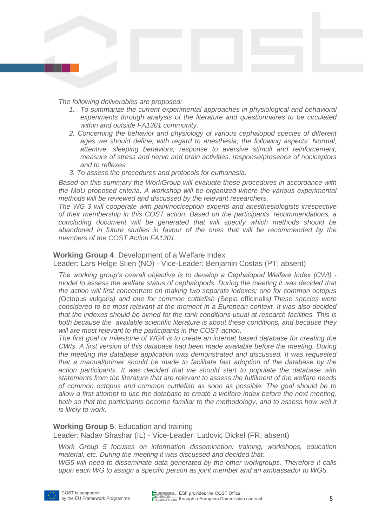*The following deliverables are proposed:* 

- *1. To summarize the current experimental approaches in physiological and behavioral experiments through analysis of the literature and questionnaires to be circulated within and outside FA1301 community.*
- *2. Concerning the behavior and physiology of various cephalopod species of different ages we should define, with regard to anesthesia, the following aspects: Normal, attentive, sleeping behaviors; response to aversive stimuli and reinforcement; measure of stress and nerve and brain activities; response/presence of nociceptors and to reflexes.*
- *3. To assess the procedures and protocols for euthanasia.*

*Based on this summary the WorkGroup will evaluate these procedures in accordance with the MoU proposed criteria. A workshop will be organized where the various experimental methods will be reviewed and discussed by the relevant researchers.* 

*The WG 3 will cooperate with pain/nociception experts and anesthesiologists irrespective of their membership in this COST action. Based on the participants' recommendations, a concluding document will be generated that will specify which methods should be abandoned in future studies in favour of the ones that will be recommended by the members of the COST Action FA1301.*

#### **Working Group 4**: Development of a Welfare Index

Leader: Lars Helge Stien (NO) - Vice-Leader: Benjamin Costas (PT; absent)

*The working group's overall objective is to develop a Cephalopod Welfare Index (CWI) model to assess the welfare status of cephalopods. During the meeting it was decided that the action will first concentrate on making two separate indexes; one for common octopus (*Octopus vulgaris*) and one for common cuttlefish (*Sepia officinalis*).These species were considered to be most relevant at the moment in a European context. It was also decided that the indexes should be aimed for the tank conditions usual at research facilities. This is both because the available scientific literature is about these conditions, and because they will are most relevant to the participants in the COST-action.*

*The first goal or milestone of WG4 is to create an internet based database for creating the CWIs. A first version of this database had been made available before the meeting. During the meeting the database application was demonstrated and discussed. It was requested that a manual/primer should be made to facilitate fast adoption of the database by the action participants. It was decided that we should start to populate the database with statements from the literature that are relevant to assess the fulfilment of the welfare needs of common octopus and common cuttlefish as soon as possible. The goal should be to allow a first attempt to use the database to create a welfare index before the next meeting, both so that the participants become familiar to the methodology, and to assess how well it is likely to work.*

#### **Working Group 5**: Education and training

Leader: Nadav Shashar (IL) - Vice-Leader: Ludovic Dickel (FR; absent)

*Work Group 5 focuses on information dissemination: training, workshops, education material, etc. During the meeting it was discussed and decided that:*

*WG5 will need to disseminate data generated by the other workgroups. Therefore it calls upon each WG to assign a specific person as joint member and an ambassador to WG5.*

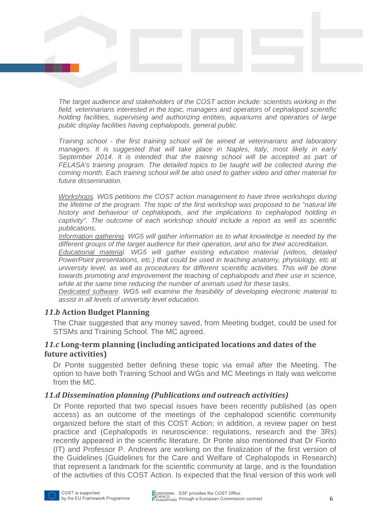*The target audience and stakeholders of the COST action include: scientists working in the field, veterinarians interested in the topic, managers and operators of cephalopod scientific holding facilities, supervising and authorizing entities, aquariums and operators of large public display facilities having cephalopods, general public.*

*Training school - the first training school will be aimed at veterinarians and laboratory managers. It is suggested that will take place in Naples, Italy, most likely in early September 2014. It is intended that the training school will be accepted as part of FELASA's training program. The detailed topics to be taught will be collected during the coming month. Each training school will be also used to gather video and other material for future dissemination.*

*Workshops. WG5 petitions the COST action management to have three workshops during the lifetime of the program. The topic of the first workshop was proposed to be "natural life history and behaviour of cephalopods, and the implications to cephalopod holding in captivity". The outcome of each workshop should include a report as well as scientific publications.* 

*Information gathering. WG5 will gather information as to what knowledge is needed by the different groups of the target audience for their operation, and also for their accreditation.*

*Educational material. WG5 will gather existing education material (videos, detailed PowerPoint presentations, etc.) that could be used in teaching anatomy, physiology, etc at university level, as well as procedures for different scientific activities. This will be done towards promoting and improvement the teaching of cephalopods and their use in science, while at the same time reducing the number of animals used for these tasks.* 

*Dedicated software. WG5 will examine the feasibility of developing electronic material to assist in all levels of university level education.* 

#### *11***.***b* **Action Budget Planning**

The Chair suggested that any money saved, from Meeting budget, could be used for STSMs and Training School. The MC agreed.

#### *11.c* **Long-term planning (including anticipated locations and dates of the future activities)**

Dr Ponte suggested better defining these topic via email after the Meeting. The option to have both Training School and WGs and MC Meetings in Italy was welcome from the MC.

#### *11.d Dissemination planning (Publications and outreach activities)*

Dr Ponte reported that two special issues have been recently published (as open access) as an outcome of the meetings of the cephalopod scientific community organized before the start of this COST Action; in addition, a review paper on best practice and (Cephalopods in neuroscience: regulations, research and the 3Rs) recently appeared in the scientific literature. Dr Ponte also mentioned that Dr Fiorito (IT) and Professor P. Andrews are working on the finalization of the first version of the Guidelines (Guidelines for the Care and Welfare of Cephalopods in Research) that represent a landmark for the scientific community at large, and is the foundation of the activities of this COST Action. Is expected that the final version of this work will

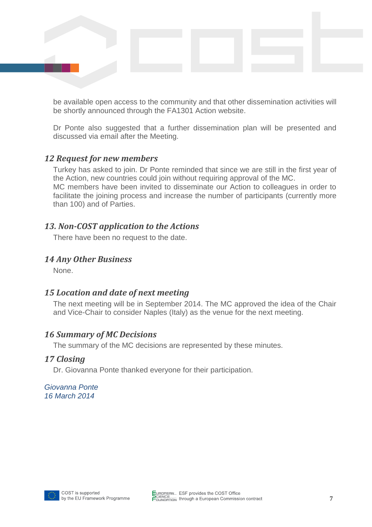be available open access to the community and that other dissemination activities will be shortly announced through the FA1301 Action website.

Dr Ponte also suggested that a further dissemination plan will be presented and discussed via email after the Meeting.

#### *12 Request for new members*

Turkey has asked to join. Dr Ponte reminded that since we are still in the first year of the Action, new countries could join without requiring approval of the MC.

MC members have been invited to disseminate our Action to colleagues in order to facilitate the joining process and increase the number of participants (currently more than 100) and of Parties.

## *13. Non-COST application to the Actions*

There have been no request to the date.

#### *14 Any Other Business*

None.

## *15 Location and date of next meeting*

The next meeting will be in September 2014. The MC approved the idea of the Chair and Vice-Chair to consider Naples (Italy) as the venue for the next meeting.

#### *16 Summary of MC Decisions*

The summary of the MC decisions are represented by these minutes.

#### *17 Closing*

Dr. Giovanna Ponte thanked everyone for their participation.

*Giovanna Ponte 16 March 2014*

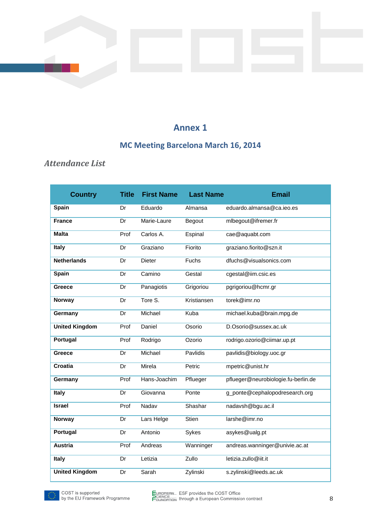# **MC Meeting Barcelona March 16, 2014**

# <span id="page-7-0"></span>*Attendance List*

| <b>Country</b>        | <b>Title</b> | <b>First Name</b> | <b>Last Name</b> | <b>Email</b>                        |
|-----------------------|--------------|-------------------|------------------|-------------------------------------|
| Spain                 | Dr           | Eduardo           | Almansa          | eduardo.almansa@ca.ieo.es           |
| <b>France</b>         | Dr           | Marie-Laure       | Begout           | mlbegout@ifremer.fr                 |
| <b>Malta</b>          | Prof         | Carlos A.         | Espinal          | cae@aquabt.com                      |
| Italy                 | Dr           | Graziano          | Fiorito          | graziano.fiorito@szn.it             |
| <b>Netherlands</b>    | Dr           | <b>Dieter</b>     | Fuchs            | dfuchs@visualsonics.com             |
| <b>Spain</b>          | Dr           | Camino            | Gestal           | cgestal@iim.csic.es                 |
| Greece                | Dr           | Panagiotis        | Grigoriou        | pgrigoriou@hcmr.gr                  |
| Norway                | Dr           | Tore S.           | Kristiansen      | torek@imr.no                        |
| Germany               | Dr           | Michael           | Kuba             | michael.kuba@brain.mpg.de           |
| <b>United Kingdom</b> | Prof         | Daniel            | Osorio           | D.Osorio@sussex.ac.uk               |
| Portugal              | Prof         | Rodrigo           | Ozorio           | rodrigo.ozorio@ciimar.up.pt         |
| Greece                | Dr           | Michael           | <b>Pavlidis</b>  | pavlidis@biology.uoc.gr             |
| Croatia               | Dr           | Mirela            | Petric           | mpetric@unist.hr                    |
| Germany               | Prof         | Hans-Joachim      | Pflueger         | pflueger@neurobiologie.fu-berlin.de |
| Italy                 | Dr           | Giovanna          | Ponte            | g_ponte@cephalopodresearch.org      |
| <b>Israel</b>         | Prof         | Nadav             | Shashar          | nadavsh@bgu.ac.il                   |
| <b>Norway</b>         | Dr           | Lars Helge        | Stien            | larshe@imr.no                       |
| <b>Portugal</b>       | Dr           | Antonio           | Sykes            | asykes@ualg.pt                      |
| <b>Austria</b>        | Prof         | Andreas           | Wanninger        | andreas.wanninger@univie.ac.at      |
| <b>Italy</b>          | Dr           | Letizia           | Zullo            | letizia.zullo@iit.it                |
| <b>United Kingdom</b> | Dr           | Sarah             | Zylinski         | s.zylinski@leeds.ac.uk              |

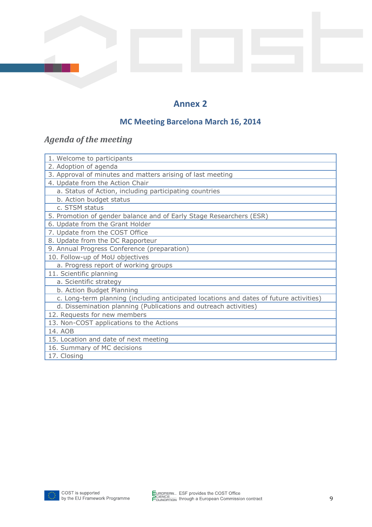# **MC Meeting Barcelona March 16, 2014**

# <span id="page-8-0"></span>*Agenda of the meeting*

| 1. Welcome to participants                                                             |  |  |  |  |
|----------------------------------------------------------------------------------------|--|--|--|--|
| 2. Adoption of agenda                                                                  |  |  |  |  |
| 3. Approval of minutes and matters arising of last meeting                             |  |  |  |  |
| 4. Update from the Action Chair                                                        |  |  |  |  |
| a. Status of Action, including participating countries                                 |  |  |  |  |
| b. Action budget status                                                                |  |  |  |  |
| c. STSM status                                                                         |  |  |  |  |
| 5. Promotion of gender balance and of Early Stage Researchers (ESR)                    |  |  |  |  |
| 6. Update from the Grant Holder                                                        |  |  |  |  |
| 7. Update from the COST Office                                                         |  |  |  |  |
| 8. Update from the DC Rapporteur                                                       |  |  |  |  |
| 9. Annual Progress Conference (preparation)                                            |  |  |  |  |
| 10. Follow-up of MoU objectives                                                        |  |  |  |  |
| a. Progress report of working groups                                                   |  |  |  |  |
| 11. Scientific planning                                                                |  |  |  |  |
| a. Scientific strategy                                                                 |  |  |  |  |
| b. Action Budget Planning                                                              |  |  |  |  |
| c. Long-term planning (including anticipated locations and dates of future activities) |  |  |  |  |
| d. Dissemination planning (Publications and outreach activities)                       |  |  |  |  |
| 12. Requests for new members                                                           |  |  |  |  |
| 13. Non-COST applications to the Actions                                               |  |  |  |  |
| 14. AOB                                                                                |  |  |  |  |
| 15. Location and date of next meeting                                                  |  |  |  |  |
| 16. Summary of MC decisions                                                            |  |  |  |  |
| 17. Closing                                                                            |  |  |  |  |

<span id="page-8-1"></span>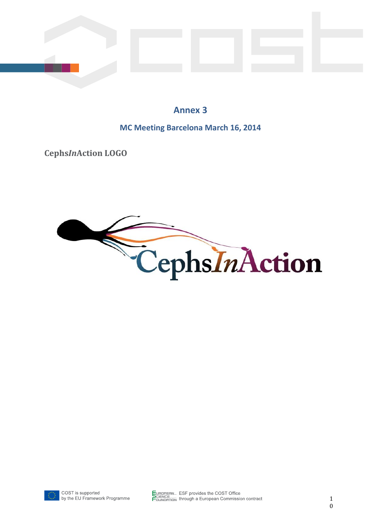**MC Meeting Barcelona March 16, 2014**

**Cephs***In***Action LOGO**



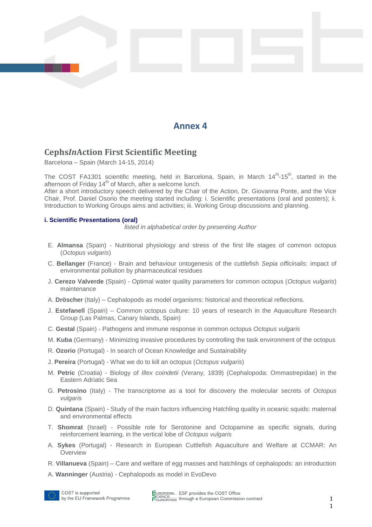## <span id="page-10-0"></span>**Cephs***In***Action First Scientific Meeting**

Barcelona – Spain (March 14-15, 2014)

The COST FA1301 scientific meeting, held in Barcelona, Spain, in March 14<sup>th</sup>-15<sup>th</sup>, started in the afternoon of Friday  $14<sup>th</sup>$  of March, after a welcome lunch.

After a short introductory speech delivered by the Chair of the Action, Dr. Giovanna Ponte, and the Vice Chair, Prof. Daniel Osorio the meeting started including: i. Scientific presentations (oral and posters); ii. Introduction to Working Groups aims and activities; iii. Working Group discussions and planning.

#### **i. Scientific Presentations (oral)**

*listed in alphabetical order by presenting Author*

- E. **Almansa** (Spain) Nutritional physiology and stress of the first life stages of common octopus (*Octopus vulgaris*)
- C. **Bellanger** (France) Brain and behaviour ontogenesis of the cuttlefish *Sepia officinalis*: impact of environmental pollution by pharmaceutical residues
- J. **Cerezo Valverde** (Spain) Optimal water quality parameters for common octopus (*Octopus vulgaris*) maintenance
- A. **Dröscher** (Italy) Cephalopods as model organisms: historical and theoretical reflections.
- J. **Estefanell** (Spain) Common octopus culture: 10 years of research in the Aquaculture Research Group (Las Palmas, Canary Islands, Spain)
- C. **Gestal** (Spain) Pathogens and immune response in common octopus *Octopus vulgaris*
- M. **Kuba** (Germany) Minimizing invasive procedures by controlling the task environment of the octopus
- R. **Ozorio** (Portugal) In search of Ocean Knowledge and Sustainability
- J. **Pereira** (Portugal) What we do to kill an octopus (*Octopus vulgaris*)
- M. **Petric** (Croatia) Biology of *Illex coindetii* (Verany, 1839) (Cephalopoda: Ommastrepidae) in the Eastern Adriatic Sea
- G. **Petrosino** (Italy) The transcriptome as a tool for discovery the molecular secrets of *Octopus vulgaris*
- D. **Quintana** (Spain) Study of the main factors influencing Hatchling quality in oceanic squids: maternal and environmental effects
- T. **Shomrat** (Israel) Possible role for Serotonine and Octopamine as specific signals, during reinforcement learning, in the vertical lobe of *Octopus vulgaris*
- A. **Sykes** (Portugal) Research in European Cuttlefish Aquaculture and Welfare at CCMAR: An **Overview**
- R. **Villanueva** (Spain) Care and welfare of egg masses and hatchlings of cephalopods: an introduction
- A. **Wanninger** (Austria) Cephalopods as model in EvoDevo



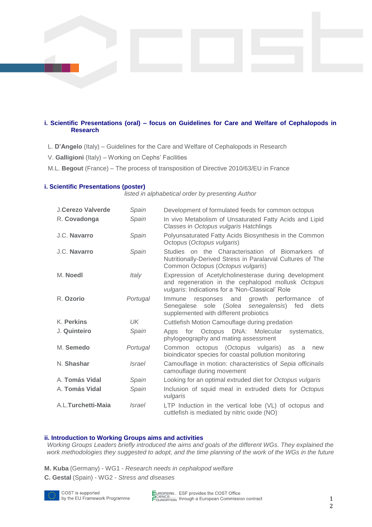#### **i. Scientific Presentations (oral) – focus on Guidelines for Care and Welfare of Cephalopods in Research**

- L. **D'Angelo** (Italy) Guidelines for the Care and Welfare of Cephalopods in Research
- V. **Galligioni** (Italy) Working on Cephs' Facilities
- M.L. **Begout** (France) The process of transposition of Directive 2010/63/EU in France

#### **i. Scientific Presentations (poster)**

*listed in alphabetical order by presenting Author*

| J.Cerezo Valverde  | Spain         | Development of formulated feeds for common octopus                                                                                                              |
|--------------------|---------------|-----------------------------------------------------------------------------------------------------------------------------------------------------------------|
| R. Covadonga       | Spain         | In vivo Metabolism of Unsaturated Fatty Acids and Lipid<br>Classes in Octopus vulgaris Hatchlings                                                               |
| J.C. Navarro       | Spain         | Polyunsaturated Fatty Acids Biosynthesis in the Common<br>Octopus (Octopus vulgaris)                                                                            |
| J.C. Navarro       | Spain         | Studies on the Characterisation of Biomarkers of<br>Nutritionally-Derived Stress in Paralarval Cultures of The<br>Common Octopus (Octopus vulgaris)             |
| M. Noedl           | Italy         | Expression of Acetylcholinesterase during development<br>and regeneration in the cephalopod mollusk Octopus<br>vulgaris: Indications for a 'Non-Classical' Role |
| R. Ozorio          | Portugal      | growth performance<br>responses and<br>0f<br>Immune<br>Senegalese sole (Solea senegalensis)<br>fed<br>diets<br>supplemented with different probiotics           |
| K. Perkins         | UK.           | Cuttlefish Motion Camouflage during predation                                                                                                                   |
| J. Quinteiro       | Spain         | for Octopus DNA: Molecular<br>systematics,<br>Apps<br>phylogeography and mating assessment                                                                      |
| M. Semedo          | Portugal      | octopus (Octopus vulgaris)<br>Common<br>as<br>a<br>new<br>bioindicator species for coastal pollution monitoring                                                 |
| N. Shashar         | <i>Israel</i> | Camouflage in motion: characteristics of Sepia officinalis<br>camouflage during movement                                                                        |
| A. Tomás Vidal     | Spain         | Looking for an optimal extruded diet for Octopus vulgaris                                                                                                       |
| A. Tomás Vidal     | Spain         | Inclusion of squid meal in extruded diets for Octopus<br>vulgaris                                                                                               |
| A.L.Turchetti-Maia | <i>Israel</i> | LTP Induction in the vertical lobe (VL) of octopus and<br>cuttlefish is mediated by nitric oxide (NO)                                                           |

#### **ii. Introduction to Working Groups aims and activities**

*Working Groups Leaders briefly introduced the aims and goals of the different WGs. They explained the work methodologies they suggested to adopt, and the time planning of the work of the WGs in the future*

- **M. Kuba** (Germany) WG1 *Research needs in cephalopod welfare*
- **C. Gestal** (Spain) WG2 *Stress and diseases*